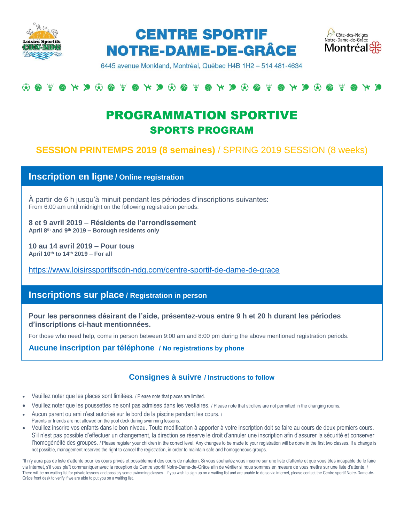





6445 avenue Monkland, Montréal, Québec H4B 1H2 - 514 481-4634

## $\begin{array}{c} @. \end{array}$

# PROGRAMMATION SPORTIVE SPORTS PROGRAM

## **SESSION PRINTEMPS 2019 (8 semaines)** / SPRING 2019 SESSION (8 weeks)

**Inscription en ligne / Online registration**

À partir de 6 h jusqu'à minuit pendant les périodes d'inscriptions suivantes: From 6:00 am until midnight on the following registration periods:

**8 et 9 avril 2019 – Résidents de l'arrondissement April 8th and 9th 2019 – Borough residents only**

**10 au 14 avril 2019 – Pour tous April 10th to 14th 2019 – For all**

<https://www.loisirssportifscdn-ndg.com/centre-sportif-de-dame-de-grace>

### **Inscriptions sur place / Registration in person**

**Pour les personnes désirant de l'aide, présentez-vous entre 9 h et 20 h durant les périodes d'inscriptions ci-haut mentionnées.**

For those who need help, come in person between 9:00 am and 8:00 pm during the above mentioned registration periods.

**Aucune inscription par téléphone / No registrations by phone**

#### **Consignes à suivre / Instructions to follow**

- Veuillez noter que les places sont limitées. / Please note that places are limited.
- Veuillez noter que les poussettes ne sont pas admises dans les vestiaires. / Please note that strollers are not permitted in the changing rooms.
- Aucun parent ou ami n'est autorisé sur le bord de la piscine pendant les cours. /
- Parents or friends are not allowed on the pool deck during swimming lessons.
- Veuillez inscrire vos enfants dans le bon niveau. Toute modification à apporter à votre inscription doit se faire au cours de deux premiers cours. S'il n'est pas possible d'effectuer un changement, la direction se réserve le droit d'annuler une inscription afin d'assurer la sécurité et conserver l'homogénéité des groupes. / Please register your children in the correct level. Any changes to be made to your registration will be done in the first two classes. If a change is not possible, management reserves the right to cancel the registration, in order to maintain safe and homogeneous groups.

\*Il n'y aura pas de liste d'attente pour les cours privés et possiblement des cours de natation. Si vous souhaitez vous inscrire sur une liste d'attente et que vous êtes incapable de le faire via Internet, s'il vous plaît communiquer avec la réception du Centre sportif Notre-Dame-de-Grâce afin de vérifier si nous sommes en mesure de vous mettre sur une liste d'attente. / There will be no waiting list for private lessons and possibly some swimming classes. If you wish to sign up on a waiting list and are unable to do so via internet, please contact the Centre sportif Notre-Dame-de-Grâce front desk to verify if we are able to put you on a waiting list.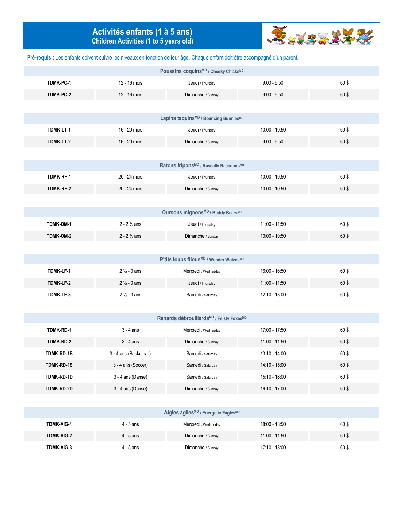## **Activités enfants (1 à 5 ans) Children Activities (1 to 5 years old)**



**Pré-requis :** Les enfants doivent suivre les niveaux en fonction de leur âge. Chaque enfant doit être accompagné d'un parent.

| Poussins coquins <sup>MD</sup> / Cheeky Chicks <sup>MD</sup> |                        |                                                   |                 |      |  |
|--------------------------------------------------------------|------------------------|---------------------------------------------------|-----------------|------|--|
| TDMK-PC-1                                                    | 12 - 16 mois           | Jeudi / Thursday                                  | $9:00 - 9:50$   | 60\$ |  |
| TDMK-PC-2                                                    | 12 - 16 mois           | Dimanche / Sunday                                 | $9:00 - 9:50$   | 60\$ |  |
|                                                              |                        |                                                   |                 |      |  |
|                                                              |                        | Lapins taquins <sup>MD</sup> / Bouncing BunniesMD |                 |      |  |
| TDMK-LT-1                                                    | 16 - 20 mois           | Jeudi / Thursday                                  | 10:00 - 10:50   | 60\$ |  |
| TDMK-LT-2                                                    | 16 - 20 mois           | Dimanche / Sunday                                 | $9:00 - 9:50$   | 60\$ |  |
|                                                              |                        |                                                   |                 |      |  |
|                                                              |                        | Ratons friponsMD / Rascally RaccoonsMD            |                 |      |  |
| <b>TDMK-RF-1</b>                                             | 20 - 24 mois           | Jeudi / Thursday                                  | $10:00 - 10:50$ | 60\$ |  |
| TDMK-RF-2                                                    | 20 - 24 mois           | Dimanche / Sunday                                 | 10:00 - 10:50   | 60\$ |  |
|                                                              |                        |                                                   |                 |      |  |
|                                                              |                        | Oursons mignonsMD / Buddy BearsMD                 |                 |      |  |
| TDMK-OM-1                                                    | $2 - 2\frac{1}{2}$ ans | Jeudi / Thursday                                  | 11:00 - 11:50   | 60\$ |  |
| TDMK-OM-2                                                    | $2 - 2\frac{1}{2}$ ans | Dimanche / Sunday                                 | $10:00 - 10:50$ | 60\$ |  |
|                                                              |                        |                                                   |                 |      |  |
|                                                              |                        | P'tits loups filousMD / Wonder WolvesMD           |                 |      |  |
| TDMK-LF-1                                                    | $2\frac{1}{2} - 3$ ans | Mercredi / Wednesday                              | 16:00 - 16:50   | 60\$ |  |
| TDMK-LF-2                                                    | $2\frac{1}{2} - 3$ ans | Jeudi / Thursday                                  | 11:00 - 11:50   | 60\$ |  |
| TDMK-LF-3                                                    | $2\frac{1}{2} - 3$ ans | Samedi / Saturday                                 | 12:10 - 13:00   | 60\$ |  |
|                                                              |                        |                                                   |                 |      |  |
|                                                              |                        | Renards débrouillardsMD / Feisty FoxesMD          |                 |      |  |
| TDMK-RD-1                                                    | $3 - 4$ ans            | Mercredi / Wednesday                              | 17:00 - 17:50   | 60\$ |  |
| TDMK-RD-2                                                    | $3 - 4$ ans            | Dimanche / Sunday                                 | 11:00 - 11:50   | 60\$ |  |
| TDMK-RD-1B                                                   | 3 - 4 ans (Basketball) | Samedi / Saturday                                 | 13:10 - 14:00   | 60\$ |  |
| TDMK-RD-1S                                                   | 3 - 4 ans (Soccer)     | Samedi / Saturday                                 | 14:10 - 15:00   | 60\$ |  |
| TDMK-RD-1D                                                   | 3 - 4 ans (Danse)      | Samedi / Saturday                                 | 15:10 - 16:00   | 60\$ |  |
| TDMK-RD-2D                                                   | 3 - 4 ans (Danse)      | Dimanche / Sunday                                 | 16:10 - 17:00   | 60\$ |  |
|                                                              |                        |                                                   |                 |      |  |
|                                                              |                        | Aigles agiles <sup>MD</sup> / Energetic EaglesMD  |                 |      |  |
| TDMK-AIG-1                                                   | $4 - 5$ ans            | Mercredi / Wednesday                              | 18:00 - 18:50   | 60\$ |  |
| TDMK-AIG-2                                                   | $4 - 5$ ans            | Dimanche / Sunday                                 | $11:00 - 11:50$ | 60\$ |  |
| TDMK-AIG-3                                                   | $4 - 5$ ans            | Dimanche / Sunday                                 | 17:10 - 18:00   | 60\$ |  |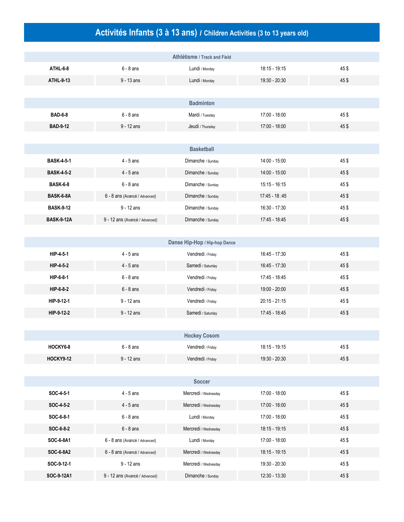# **Activités Infants (3 à 13 ans) / Children Activities (3 to 13 years old)**

|                   |                                | Athlétisme / Track and Field  |                 |      |
|-------------------|--------------------------------|-------------------------------|-----------------|------|
| ATHL-6-8          | $6 - 8$ ans                    | Lundi / Monday                | 18:15 - 19:15   | 45\$ |
| ATHL-9-13         | $9 - 13$ ans                   | Lundi / Monday                | 19:30 - 20:30   | 45\$ |
|                   |                                |                               |                 |      |
|                   |                                | <b>Badminton</b>              |                 |      |
| <b>BAD-6-8</b>    | $6 - 8$ ans                    | Mardi / Tuesday               | 17:00 - 18:00   | 45\$ |
| <b>BAD-9-12</b>   | $9 - 12$ ans                   | Jeudi / Thursday              | 17:00 - 18:00   | 45\$ |
|                   |                                |                               |                 |      |
|                   |                                | <b>Basketball</b>             |                 |      |
| <b>BASK-4-5-1</b> | $4 - 5$ ans                    | Dimanche / Sunday             | 14:00 - 15:00   | 45\$ |
| <b>BASK-4-5-2</b> | $4 - 5$ ans                    | Dimanche / Sunday             | 14:00 - 15:00   | 45\$ |
| <b>BASK-6-8</b>   | $6 - 8$ ans                    | Dimanche / Sunday             | 15:15 - 16:15   | 45\$ |
| BASK-6-8A         | 6 - 8 ans (Avancé / Advanced)  | Dimanche / Sunday             | 17:45 - 18:45   | 45\$ |
| <b>BASK-9-12</b>  | $9 - 12$ ans                   | Dimanche / Sunday             | 16:30 - 17:30   | 45\$ |
| <b>BASK-9-12A</b> | 9 - 12 ans (Avancé / Advanced) | Dimanche / Sunday             | 17:45 - 18:45   | 45\$ |
|                   |                                |                               |                 |      |
|                   |                                | Danse Hip-Hop / Hip-hop Dance |                 |      |
| HIP-4-5-1         | $4 - 5$ ans                    | Vendredi / Friday             | 16:45 - 17:30   | 45\$ |
| HIP-4-5-2         | $4 - 5$ ans                    | Samedi / Saturday             | 16:45 - 17:30   | 45\$ |
| HIP-6-8-1         | $6 - 8$ ans                    | Vendredi / Friday             | 17:45 - 18:45   | 45\$ |
| HIP-6-8-2         | $6 - 8$ ans                    | Vendredi / Friday             | 19:00 - 20:00   | 45\$ |
| HIP-9-12-1        | $9 - 12$ ans                   | Vendredi / Friday             | $20:15 - 21:15$ | 45\$ |
| HIP-9-12-2        | $9 - 12$ ans                   | Samedi / Saturday             | 17:45 - 18:45   | 45\$ |
|                   |                                |                               |                 |      |
|                   |                                | <b>Hockey Cosom</b>           |                 |      |
| HOCKY6-8          | $6 - 8$ ans                    | Vendredi / Friday             | 18:15 - 19:15   | 45\$ |
| <b>HOCKY9-12</b>  | $9 - 12$ ans                   | Vendredi / Friday             | 19:30 - 20:30   | 45\$ |
|                   |                                |                               |                 |      |
|                   |                                | <b>Soccer</b>                 |                 |      |
| SOC-4-5-1         | $4 - 5$ ans                    | Mercredi / Wednesday          | 17:00 - 18:00   | 45\$ |
| SOC-4-5-2         | $4 - 5$ ans                    | Mercredi / Wednesday          | 17:00 - 18:00   | 45\$ |
| SOC-6-8-1         | $6 - 8$ ans                    | Lundi / Monday                | 17:00 - 18:00   | 45\$ |
| SOC-6-8-2         | $6 - 8$ ans                    | Mercredi / Wednesday          | 18:15 - 19:15   | 45\$ |
| SOC-6-8A1         | 6 - 8 ans (Avancé / Advanced)  | Lundi / Monday                | 17:00 - 18:00   | 45\$ |
| SOC-6-8A2         | 6 - 8 ans (Avancé / Advanced)  | Mercredi / Wednesday          | 18:15 - 19:15   | 45\$ |
| SOC-9-12-1        | $9 - 12$ ans                   | Mercredi / Wednesday          | 19:30 - 20:30   | 45\$ |
| SOC-9-12A1        | 9 - 12 ans (Avancé / Advanced) | Dimanche / Sunday             | 12:30 - 13:30   | 45\$ |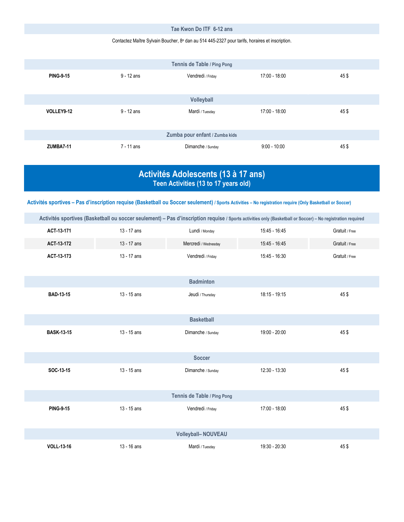#### **Tae Kwon Do ITF 6-12 ans**

#### Contactez Maître Sylvain Boucher, 8<sup>e</sup> dan au 514 445-2327 pour tarifs, horaires et inscription.

|                  |              | Tennis de Table / Ping Pong    |                 |      |
|------------------|--------------|--------------------------------|-----------------|------|
| <b>PING-9-15</b> | $9 - 12$ ans | Vendredi / Friday              | 17:00 - 18:00   | 45\$ |
|                  |              |                                |                 |      |
|                  |              | Volleyball                     |                 |      |
| VOLLEY9-12       | $9 - 12$ ans | Mardi / Tuesday                | $17:00 - 18:00$ | 45\$ |
|                  |              |                                |                 |      |
|                  |              | Zumba pour enfant / Zumba kids |                 |      |
| <b>ZUMBA7-11</b> | 7 - 11 ans   | Dimanche / Sunday              | $9:00 - 10:00$  | 45\$ |

### **Activités Adolescents (13 à 17 ans) Teen Activities (13 to 17 years old)**

**Activités sportives – Pas d'inscription requise (Basketball ou Soccer seulement) / Sports Activities – No registration require (Only Basketball or Soccer)**

|                   |             |                             | Activités sportives (Basketball ou soccer seulement) - Pas d'inscription requise / Sports activities only (Basketball or Soccer) - No registration required |                |
|-------------------|-------------|-----------------------------|-------------------------------------------------------------------------------------------------------------------------------------------------------------|----------------|
| ACT-13-171        | 13 - 17 ans | Lundi / Monday              | 15:45 - 16:45                                                                                                                                               | Gratuit / Free |
| ACT-13-172        | 13 - 17 ans | Mercredi / Wednesday        | 15:45 - 16:45                                                                                                                                               | Gratuit / Free |
| ACT-13-173        | 13 - 17 ans | Vendredi / Friday           | 15:45 - 16:30                                                                                                                                               | Gratuit / Free |
|                   |             |                             |                                                                                                                                                             |                |
|                   |             | <b>Badminton</b>            |                                                                                                                                                             |                |
| <b>BAD-13-15</b>  | 13 - 15 ans | Jeudi / Thursday            | $18:15 - 19:15$                                                                                                                                             | 45\$           |
|                   |             |                             |                                                                                                                                                             |                |
|                   |             | <b>Basketball</b>           |                                                                                                                                                             |                |
| <b>BASK-13-15</b> | 13 - 15 ans | Dimanche / Sunday           | 19:00 - 20:00                                                                                                                                               | 45\$           |
|                   |             |                             |                                                                                                                                                             |                |
|                   |             | <b>Soccer</b>               |                                                                                                                                                             |                |
| SOC-13-15         | 13 - 15 ans | Dimanche / Sunday           | 12:30 - 13:30                                                                                                                                               | 45\$           |
|                   |             |                             |                                                                                                                                                             |                |
|                   |             | Tennis de Table / Ping Pong |                                                                                                                                                             |                |
| <b>PING-9-15</b>  | 13 - 15 ans | Vendredi / Friday           | 17:00 - 18:00                                                                                                                                               | 45\$           |
|                   |             |                             |                                                                                                                                                             |                |
|                   |             | <b>Volleyball-NOUVEAU</b>   |                                                                                                                                                             |                |
| <b>VOLL-13-16</b> | 13 - 16 ans | Mardi / Tuesday             | 19:30 - 20:30                                                                                                                                               | 45\$           |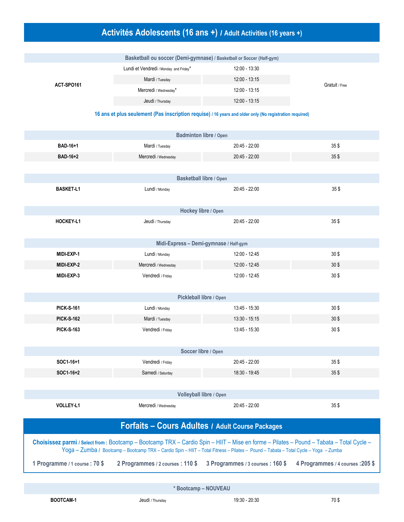# **Activités Adolescents (16 ans +) / Adult Activities (16 years +)**

| Basketball ou soccer (Demi-gymnase) / Basketball or Soccer (Half-gym) |                                        |                 |                |  |  |
|-----------------------------------------------------------------------|----------------------------------------|-----------------|----------------|--|--|
| ACT-SPO161                                                            | Lundi et Vendredi / Monday and Friday* | 12:00 - 13:30   |                |  |  |
|                                                                       | Mardi / Tuesday                        | $12:00 - 13:15$ |                |  |  |
|                                                                       | Mercredi / Wednesday*                  | 12:00 - 13:15   | Gratuit / Free |  |  |
|                                                                       | Jeudi / Thursday                       | 12:00 - 13:15   |                |  |  |

**16 ans et plus seulement (Pas inscription requise) / 16 years and older only (No registration required)**

|                                                                                                                                                                                                                                                                                 | Badminton libre / Open                 |                                  |                                   |
|---------------------------------------------------------------------------------------------------------------------------------------------------------------------------------------------------------------------------------------------------------------------------------|----------------------------------------|----------------------------------|-----------------------------------|
| BAD-16+1                                                                                                                                                                                                                                                                        | Mardi / Tuesday                        | 20:45 - 22:00                    | 35\$                              |
| <b>BAD-16+2</b>                                                                                                                                                                                                                                                                 | Mercredi / Wednesday                   | 20:45 - 22:00                    | $35$ \$                           |
|                                                                                                                                                                                                                                                                                 |                                        |                                  |                                   |
|                                                                                                                                                                                                                                                                                 | Basketball libre / Open                |                                  |                                   |
| <b>BASKET-L1</b>                                                                                                                                                                                                                                                                | Lundi / Monday                         | 20:45 - 22:00                    | 35\$                              |
|                                                                                                                                                                                                                                                                                 | Hockey libre / Open                    |                                  |                                   |
| <b>HOCKEY-L1</b>                                                                                                                                                                                                                                                                | Jeudi / Thursday                       | 20:45 - 22:00                    | $35$ \$                           |
|                                                                                                                                                                                                                                                                                 | Midi-Express - Demi-gymnase / Half-gym |                                  |                                   |
| MIDI-EXP-1                                                                                                                                                                                                                                                                      | Lundi / Monday                         | 12:00 - 12:45                    | 30 <sup>°</sup>                   |
| MIDI-EXP-2                                                                                                                                                                                                                                                                      | Mercredi / Wednesday                   | 12:00 - 12:45                    | 30\$                              |
| MIDI-EXP-3                                                                                                                                                                                                                                                                      | Vendredi / Friday                      | 12:00 - 12:45                    | 30 <sup>°</sup>                   |
|                                                                                                                                                                                                                                                                                 | Pickleball libre / Open                |                                  |                                   |
| <b>PICK-S-161</b>                                                                                                                                                                                                                                                               | Lundi / Monday                         | 13:45 - 15:30                    | 30 <sup>°</sup>                   |
| <b>PICK-S-162</b>                                                                                                                                                                                                                                                               | Mardi / Tuesday                        | 13:30 - 15:15                    | $30$ \$                           |
| <b>PICK-S-163</b>                                                                                                                                                                                                                                                               | Vendredi / Friday                      | 13:45 - 15:30                    | $30$ \$                           |
|                                                                                                                                                                                                                                                                                 | Soccer libre / Open                    |                                  |                                   |
| SOC1-16+1                                                                                                                                                                                                                                                                       | Vendredi / Friday                      | 20:45 - 22:00                    | $35$ \$                           |
| SOC1-16+2                                                                                                                                                                                                                                                                       | Samedi / Saturday                      | 18:30 - 19:45                    | $35$ \$                           |
|                                                                                                                                                                                                                                                                                 |                                        |                                  |                                   |
|                                                                                                                                                                                                                                                                                 | Volleyball libre / Open                |                                  |                                   |
| VOLLEY-L1                                                                                                                                                                                                                                                                       | Mercredi / Wednesday                   | 20:45 - 22:00                    | 35\$                              |
| Forfaits - Cours Adultes / Adult Course Packages                                                                                                                                                                                                                                |                                        |                                  |                                   |
| Choisissez parmi / Select from : Bootcamp - Bootcamp TRX - Cardio Spin - HIIT - Mise en forme - Pilates - Pound - Tabata - Total Cycle -<br>Yoga - Zumba / Bootcamp - Bootcamp TRX - Cardio Spin - HIIT - Total Fitness - Pilates - Pound - Tabata - Total Cycle - Yoga - Zumba |                                        |                                  |                                   |
| 1 Programme / 1 course : 70 \$                                                                                                                                                                                                                                                  | 2 Programmes / 2 courses : 110 \$      | 3 Programmes / 3 courses: 160 \$ | 4 Programmes / 4 courses : 205 \$ |
|                                                                                                                                                                                                                                                                                 |                                        |                                  |                                   |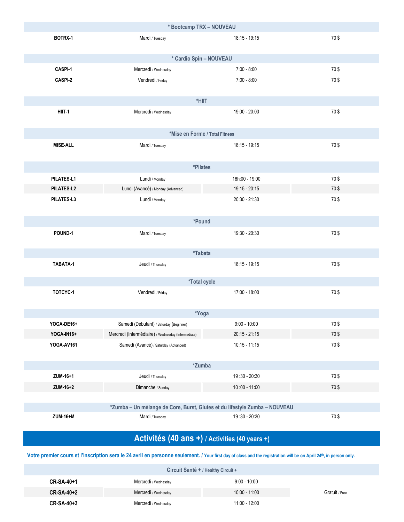| * Bootcamp TRX - NOUVEAU                       |                                                                            |                 |      |  |  |
|------------------------------------------------|----------------------------------------------------------------------------|-----------------|------|--|--|
| BOTRX-1                                        | Mardi / Tuesday                                                            | 18:15 - 19:15   | 70\$ |  |  |
|                                                | * Cardio Spin - NOUVEAU                                                    |                 |      |  |  |
| CASPI-1                                        | Mercredi / Wednesday                                                       | $7:00 - 8:00$   | 70\$ |  |  |
| CASPI-2                                        | Vendredi / Friday                                                          | $7:00 - 8:00$   | 70\$ |  |  |
|                                                |                                                                            |                 |      |  |  |
|                                                | *HIIT                                                                      |                 |      |  |  |
| HIIT-1                                         | Mercredi / Wednesday                                                       | 19:00 - 20:00   | 70\$ |  |  |
|                                                |                                                                            |                 |      |  |  |
|                                                | *Mise en Forme / Total Fitness                                             |                 |      |  |  |
| <b>MISE-ALL</b>                                | Mardi / Tuesday                                                            | 18:15 - 19:15   | 70\$ |  |  |
|                                                |                                                                            |                 |      |  |  |
|                                                | *Pilates                                                                   |                 |      |  |  |
| PILATES-L1                                     | Lundi / Monday                                                             | 18h:00 - 19:00  | 70\$ |  |  |
| PILATES-L2                                     | Lundi (Avancé) / Monday (Advanced)                                         | 19:15 - 20:15   | 70\$ |  |  |
| PILATES-L3                                     | Lundi / Monday                                                             | $20:30 - 21:30$ | 70\$ |  |  |
|                                                |                                                                            |                 |      |  |  |
|                                                | *Pound                                                                     |                 |      |  |  |
| POUND-1                                        | Mardi / Tuesday                                                            | 19:30 - 20:30   | 70\$ |  |  |
|                                                |                                                                            |                 |      |  |  |
|                                                | *Tabata                                                                    |                 |      |  |  |
| TABATA-1                                       | Jeudi / Thursday                                                           | 18:15 - 19:15   | 70\$ |  |  |
|                                                |                                                                            |                 |      |  |  |
|                                                | <i><b>*Total cycle</b></i>                                                 |                 |      |  |  |
| TOTCYC-1                                       | Vendredi / Friday                                                          | 17:00 - 18:00   | 70\$ |  |  |
|                                                | *Yoga                                                                      |                 |      |  |  |
| YOGA-DE16+                                     | Samedi (Débutant) / Saturday (Beginner)                                    | $9:00 - 10:00$  | 70\$ |  |  |
| YOGA-IN16+                                     | Mercredi (Intermédiaire) / Wednesday (Intermediate)                        | $20:15 - 21:15$ | 70\$ |  |  |
| YOGA-AV161                                     | Samedi (Avancé) / Saturday (Advanced)                                      | $10:15 - 11:15$ | 70\$ |  |  |
|                                                |                                                                            |                 |      |  |  |
| *Zumba                                         |                                                                            |                 |      |  |  |
| ZUM-16+1                                       | Jeudi / Thursday                                                           | 19:30 - 20:30   | 70\$ |  |  |
| ZUM-16+2                                       | Dimanche / Sunday                                                          | $10:00 - 11:00$ | 70\$ |  |  |
|                                                |                                                                            |                 |      |  |  |
|                                                | *Zumba - Un mélange de Core, Burst, Glutes et du lifestyle Zumba - NOUVEAU |                 |      |  |  |
| ZUM-16+M                                       | Mardi / Tuesday                                                            | 19:30 - 20:30   | 70\$ |  |  |
|                                                |                                                                            |                 |      |  |  |
| Activités (40 ans +) / Activities (40 years +) |                                                                            |                 |      |  |  |

**Votre premier cours et l'inscription sera le 24 avril en personne seulement. / Your first day of class and the registration will be on April 24th, in person only.**

| Circuit Santé + / Healthy Circuit + |                      |                 |                |  |  |
|-------------------------------------|----------------------|-----------------|----------------|--|--|
| CR-SA-40+1                          | Mercredi / Wednesday | $9:00 - 10:00$  |                |  |  |
| CR-SA-40+2                          | Mercredi / Wednesday | $10:00 - 11:00$ | Gratuit / Free |  |  |
| CR-SA-40+3                          | Mercredi / Wednesday | 11:00 - 12:00   |                |  |  |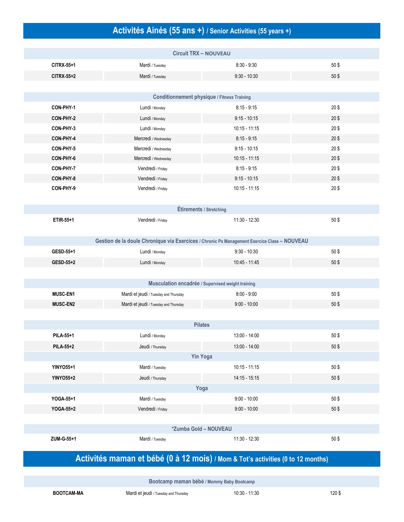## **Activités Ainés (55 ans +) / Senior Activities (55 years +)**

|                  | <b>Circuit TRX - NOUVEAU</b>                                                                 |                 |           |  |  |
|------------------|----------------------------------------------------------------------------------------------|-----------------|-----------|--|--|
| CITRX-55+1       | Mardi / Tuesday                                                                              | $8:30 - 9:30$   | 50\$      |  |  |
| CITRX-55+2       | Mardi / Tuesday                                                                              | $9:30 - 10:30$  | 50\$      |  |  |
|                  |                                                                                              |                 |           |  |  |
|                  | <b>Conditionnement physique / Fitness Training</b>                                           |                 |           |  |  |
| CON-PHY-1        | Lundi / Monday                                                                               | $8:15 - 9:15$   | 20\$      |  |  |
| CON-PHY-2        | Lundi / Monday                                                                               | $9:15 - 10:15$  | $20$ \$   |  |  |
| CON-PHY-3        | Lundi / Monday                                                                               | $10:15 - 11:15$ | $20$ \$   |  |  |
| CON-PHY-4        | Mercredi / Wednesday                                                                         | $8:15 - 9:15$   | $20$ \$   |  |  |
| CON-PHY-5        | Mercredi / Wednesday                                                                         | $9:15 - 10:15$  | 20\$      |  |  |
| CON-PHY-6        | Mercredi / Wednesday                                                                         | $10:15 - 11:15$ | $20$ \$   |  |  |
| CON-PHY-7        | Vendredi / Friday                                                                            | $8:15 - 9:15$   | $20$ \$   |  |  |
| CON-PHY-8        | Vendredi / Friday                                                                            | $9:15 - 10:15$  | $20$ \$   |  |  |
| CON-PHY-9        | Vendredi / Friday                                                                            | $10:15 - 11:15$ | $20$ \$   |  |  |
|                  |                                                                                              |                 |           |  |  |
|                  | Étirements / Stretching                                                                      |                 |           |  |  |
| ETIR-55+1        | Vendredi / Friday                                                                            | 11:30 - 12:30   | 50\$      |  |  |
|                  |                                                                                              |                 |           |  |  |
|                  | Gestion de la doule Chronique via Exercices / Chronic Px Management Exercice Class - NOUVEAU |                 |           |  |  |
| GESD-55+1        | Lundi / Monday                                                                               | $9:30 - 10:30$  | 50\$      |  |  |
| GESD-55+2        | Lundi / Monday                                                                               | 10:45 - 11:45   | 50\$      |  |  |
|                  |                                                                                              |                 |           |  |  |
|                  | Musculation encadrée / Supervised weight training                                            |                 |           |  |  |
| <b>MUSC-EN1</b>  | Mardi et jeudi / Tuesday and Thursday                                                        | $8:00 - 9:00$   | 50\$      |  |  |
| <b>MUSC-EN2</b>  | Mardi et jeudi / Tuesday and Thursday                                                        | $9:00 - 10:00$  | 50\$      |  |  |
|                  |                                                                                              |                 |           |  |  |
|                  | <b>Pilates</b>                                                                               |                 |           |  |  |
| <b>PILA-55+1</b> | Lundi / Monday                                                                               | 13:00 - 14:00   | 50\$      |  |  |
| <b>PILA 55+2</b> | Jeudi / Thursday                                                                             | 13:00 - 14:00   | $50$ \$   |  |  |
|                  | <b>Yin Yoga</b>                                                                              |                 |           |  |  |
| <b>YINYO55+1</b> | Mardi / Tuesday                                                                              | $10:15 - 11:15$ | 50\$      |  |  |
| <b>YINYO55+2</b> | Jeudi / Thursday                                                                             | 14:15 - 15:15   | 50\$      |  |  |
|                  | Yoga                                                                                         |                 |           |  |  |
| YOGA-55+1        | Mardi / Tuesday                                                                              | $9:00 - 10:00$  | 50\$      |  |  |
| YOGA-55+2        | Vendredi / Friday                                                                            | $9:00 - 10:00$  | $50$ $\$$ |  |  |
|                  |                                                                                              |                 |           |  |  |
|                  | *Zumba Gold - NOUVEAU                                                                        |                 |           |  |  |
| ZUM-G-55+1       | Mardi / Tuesday                                                                              | 11:30 - 12:30   | 50\$      |  |  |
|                  |                                                                                              |                 |           |  |  |

# **Activités maman et bébé (0 à 12 mois) / Mom & Tot's activities (0 to 12 months)**

**Bootcamp maman bébé / Mommy Baby Bootcamp**